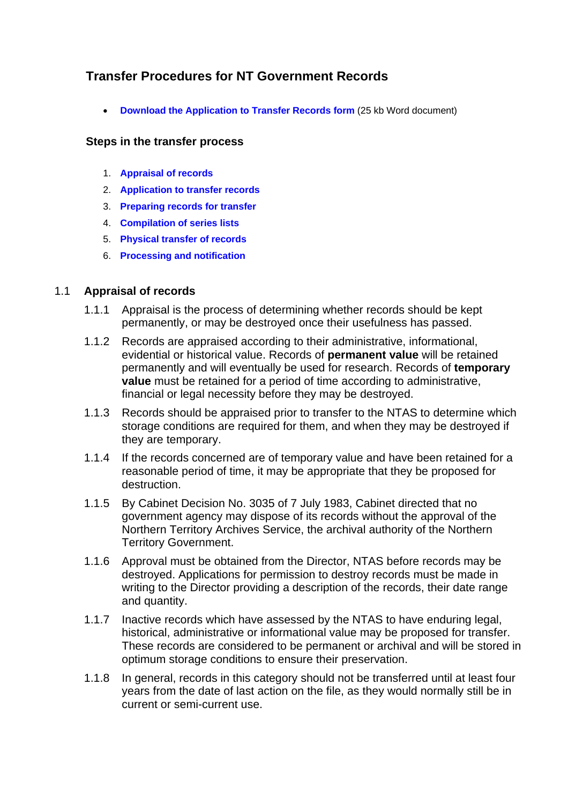# <span id="page-0-0"></span>**Transfer Procedures for NT Government Records**

**[Download the Application to Transfer Records form](http://www.nt.gov.au/dcis/nta/recordkeeping/pdf/applic_to_transf.doc)** (25 kb Word document)

#### **Steps in the transfer process**

- 1. **Appraisal of records**
- 2. **[Application to transfer records](#page-1-0)**
- 3. **[Preparing records for transfer](#page-1-0)**
- 4. **[Compilation of series lists](#page-2-0)**
- 5. **[Physical transfer of records](#page-4-0)**
- 6. **[Processing and notification](#page-4-0)**

#### 1.1 **Appraisal of records**

- 1.1.1 Appraisal is the process of determining whether records should be kept permanently, or may be destroyed once their usefulness has passed.
- 1.1.2 Records are appraised according to their administrative, informational, evidential or historical value. Records of **permanent value** will be retained permanently and will eventually be used for research. Records of **temporary value** must be retained for a period of time according to administrative, financial or legal necessity before they may be destroyed.
- 1.1.3 Records should be appraised prior to transfer to the NTAS to determine which storage conditions are required for them, and when they may be destroyed if they are temporary.
- 1.1.4 If the records concerned are of temporary value and have been retained for a reasonable period of time, it may be appropriate that they be proposed for destruction.
- 1.1.5 By Cabinet Decision No. 3035 of 7 July 1983, Cabinet directed that no government agency may dispose of its records without the approval of the Northern Territory Archives Service, the archival authority of the Northern Territory Government.
- 1.1.6 Approval must be obtained from the Director, NTAS before records may be destroyed. Applications for permission to destroy records must be made in writing to the Director providing a description of the records, their date range and quantity.
- 1.1.7 Inactive records which have assessed by the NTAS to have enduring legal, historical, administrative or informational value may be proposed for transfer. These records are considered to be permanent or archival and will be stored in optimum storage conditions to ensure their preservation.
- 1.1.8 In general, records in this category should not be transferred until at least four years from the date of last action on the file, as they would normally still be in current or semi-current use.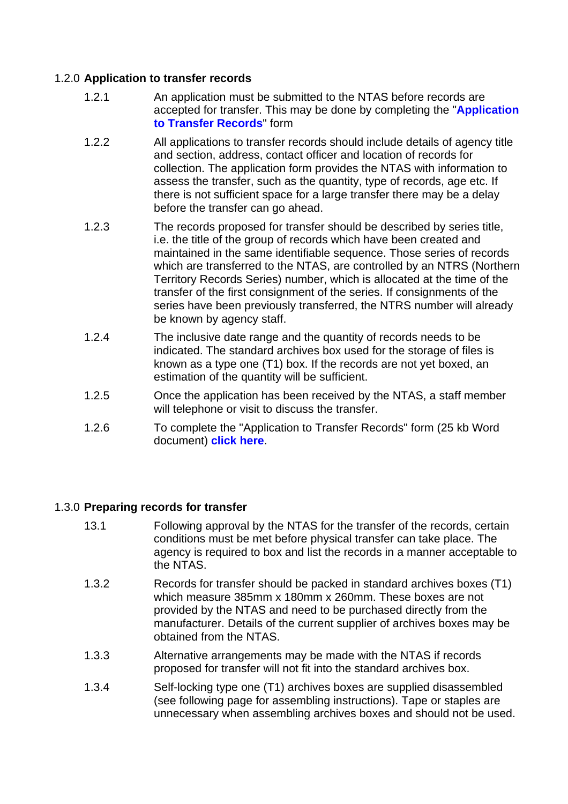## <span id="page-1-0"></span>1.2.0 **Application to transfer records**

- 1.2.1 An application must be submitted to the NTAS before records are accepted for transfer. This may be done by completing the "**[Application](http://www.nt.gov.au/dcis/nta/recordkeeping/pdf/applic_to_transf.doc)  [to Transfer Records](http://www.nt.gov.au/dcis/nta/recordkeeping/pdf/applic_to_transf.doc)**" form
- 1.2.2 All applications to transfer records should include details of agency title and section, address, contact officer and location of records for collection. The application form provides the NTAS with information to assess the transfer, such as the quantity, type of records, age etc. If there is not sufficient space for a large transfer there may be a delay before the transfer can go ahead.
- 1.2.3 The records proposed for transfer should be described by series title, i.e. the title of the group of records which have been created and maintained in the same identifiable sequence. Those series of records which are transferred to the NTAS, are controlled by an NTRS (Northern Territory Records Series) number, which is allocated at the time of the transfer of the first consignment of the series. If consignments of the series have been previously transferred, the NTRS number will already be known by agency staff.
- 1.2.4 The inclusive date range and the quantity of records needs to be indicated. The standard archives box used for the storage of files is known as a type one (T1) box. If the records are not yet boxed, an estimation of the quantity will be sufficient.
- 1.2.5 Once the application has been received by the NTAS, a staff member will telephone or visit to discuss the transfer.
- 1.2.6 To complete the "Application to Transfer Records" form (25 kb Word document) **[click here](http://www.nt.gov.au/dcis/nta/recordkeeping/pdf/applic_to_transf.doc)**.

#### 1.3.0 **Preparing records for transfer**

- 13.1 Following approval by the NTAS for the transfer of the records, certain conditions must be met before physical transfer can take place. The agency is required to box and list the records in a manner acceptable to the NTAS.
- 1.3.2 Records for transfer should be packed in standard archives boxes (T1) which measure 385mm x 180mm x 260mm. These boxes are not provided by the NTAS and need to be purchased directly from the manufacturer. Details of the current supplier of archives boxes may be obtained from the NTAS.
- 1.3.3 Alternative arrangements may be made with the NTAS if records proposed for transfer will not fit into the standard archives box.
- 1.3.4 Self-locking type one (T1) archives boxes are supplied disassembled (see following page for assembling instructions). Tape or staples are unnecessary when assembling archives boxes and should not be used.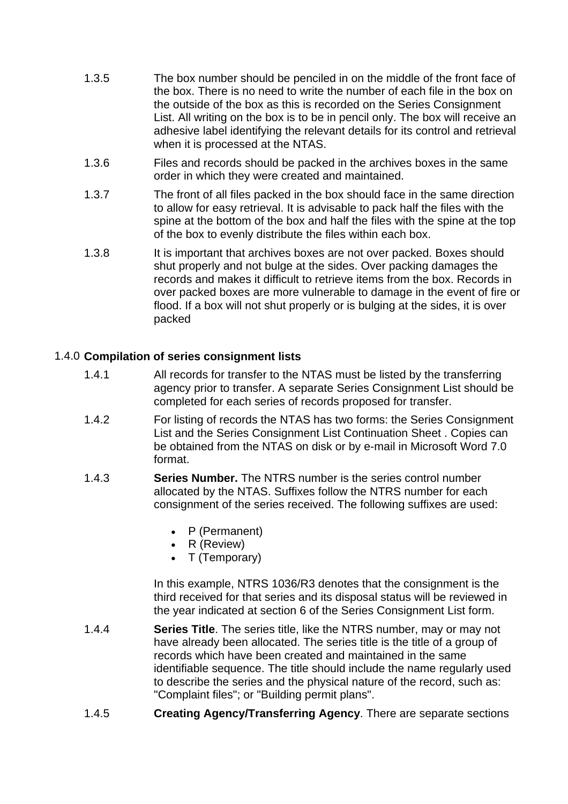- <span id="page-2-0"></span> 1.3.5 The box number should be penciled in on the middle of the front face of the box. There is no need to write the number of each file in the box on the outside of the box as this is recorded on the Series Consignment List. All writing on the box is to be in pencil only. The box will receive an adhesive label identifying the relevant details for its control and retrieval when it is processed at the NTAS.
- 1.3.6 Files and records should be packed in the archives boxes in the same order in which they were created and maintained.
- 1.3.7 The front of all files packed in the box should face in the same direction to allow for easy retrieval. It is advisable to pack half the files with the spine at the bottom of the box and half the files with the spine at the top of the box to evenly distribute the files within each box.
- 1.3.8 It is important that archives boxes are not over packed. Boxes should shut properly and not bulge at the sides. Over packing damages the records and makes it difficult to retrieve items from the box. Records in over packed boxes are more vulnerable to damage in the event of fire or flood. If a box will not shut properly or is bulging at the sides, it is over packed

# 1.4.0 **Compilation of series consignment lists**

- 1.4.1 All records for transfer to the NTAS must be listed by the transferring agency prior to transfer. A separate Series Consignment List should be completed for each series of records proposed for transfer.
- 1.4.2 For listing of records the NTAS has two forms: the Series Consignment List and the Series Consignment List Continuation Sheet . Copies can be obtained from the NTAS on disk or by e-mail in Microsoft Word 7.0 format.
- 1.4.3 **Series Number.** The NTRS number is the series control number allocated by the NTAS. Suffixes follow the NTRS number for each consignment of the series received. The following suffixes are used:
	- P (Permanent)
	- R (Review)
	- T (Temporary)

In this example, NTRS 1036/R3 denotes that the consignment is the third received for that series and its disposal status will be reviewed in the year indicated at section 6 of the Series Consignment List form.

- 1.4.4 **Series Title**. The series title, like the NTRS number, may or may not have already been allocated. The series title is the title of a group of records which have been created and maintained in the same identifiable sequence. The title should include the name regularly used to describe the series and the physical nature of the record, such as: "Complaint files"; or "Building permit plans".
- 1.4.5 **Creating Agency/Transferring Agency**. There are separate sections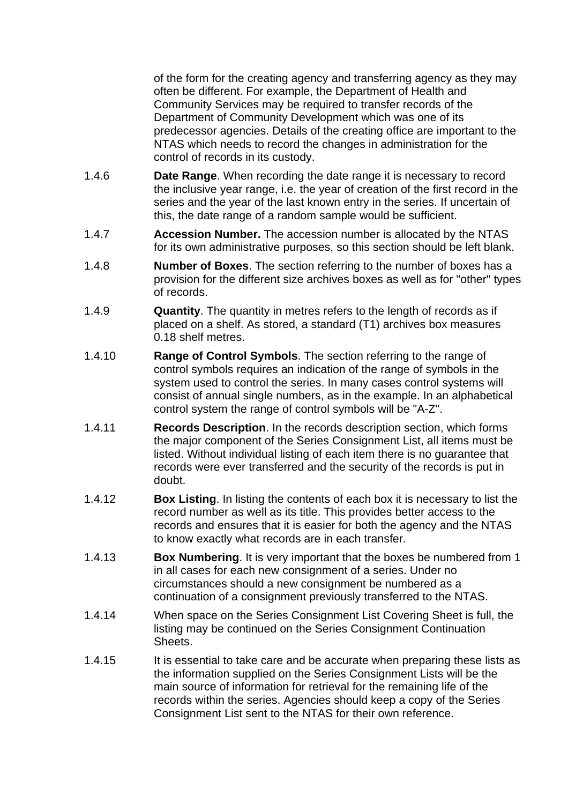of the form for the creating agency and transferring agency as they may often be different. For example, the Department of Health and Community Services may be required to transfer records of the Department of Community Development which was one of its predecessor agencies. Details of the creating office are important to the NTAS which needs to record the changes in administration for the control of records in its custody.

- 1.4.6 **Date Range**. When recording the date range it is necessary to record the inclusive year range, i.e. the year of creation of the first record in the series and the year of the last known entry in the series. If uncertain of this, the date range of a random sample would be sufficient.
- 1.4.7 **Accession Number.** The accession number is allocated by the NTAS for its own administrative purposes, so this section should be left blank.
- 1.4.8 **Number of Boxes**. The section referring to the number of boxes has a provision for the different size archives boxes as well as for "other" types of records.
- 1.4.9 **Quantity**. The quantity in metres refers to the length of records as if placed on a shelf. As stored, a standard (T1) archives box measures 0.18 shelf metres.
- 1.4.10 **Range of Control Symbols**. The section referring to the range of control symbols requires an indication of the range of symbols in the system used to control the series. In many cases control systems will consist of annual single numbers, as in the example. In an alphabetical control system the range of control symbols will be "A-Z".
- 1.4.11 **Records Description**. In the records description section, which forms the major component of the Series Consignment List, all items must be listed. Without individual listing of each item there is no guarantee that records were ever transferred and the security of the records is put in doubt.
- 1.4.12 **Box Listing**. In listing the contents of each box it is necessary to list the record number as well as its title. This provides better access to the records and ensures that it is easier for both the agency and the NTAS to know exactly what records are in each transfer.
- 1.4.13 **Box Numbering**. It is very important that the boxes be numbered from 1 in all cases for each new consignment of a series. Under no circumstances should a new consignment be numbered as a continuation of a consignment previously transferred to the NTAS.
- 1.4.14 When space on the Series Consignment List Covering Sheet is full, the listing may be continued on the Series Consignment Continuation Sheets.
- 1.4.15 It is essential to take care and be accurate when preparing these lists as the information supplied on the Series Consignment Lists will be the main source of information for retrieval for the remaining life of the records within the series. Agencies should keep a copy of the Series Consignment List sent to the NTAS for their own reference.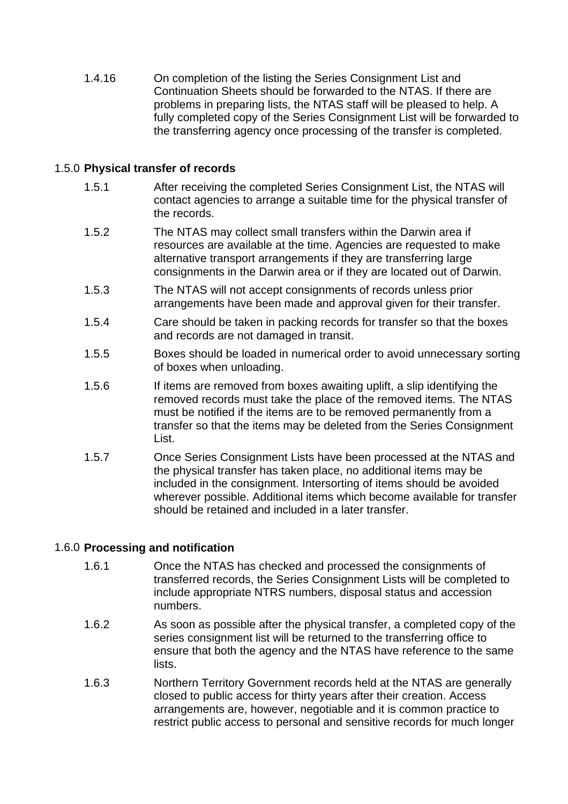<span id="page-4-0"></span> 1.4.16 On completion of the listing the Series Consignment List and Continuation Sheets should be forwarded to the NTAS. If there are problems in preparing lists, the NTAS staff will be pleased to help. A fully completed copy of the Series Consignment List will be forwarded to the transferring agency once processing of the transfer is completed.

## 1.5.0 **Physical transfer of records**

- 1.5.1 After receiving the completed Series Consignment List, the NTAS will contact agencies to arrange a suitable time for the physical transfer of the records.
- 1.5.2 The NTAS may collect small transfers within the Darwin area if resources are available at the time. Agencies are requested to make alternative transport arrangements if they are transferring large consignments in the Darwin area or if they are located out of Darwin.
- 1.5.3 The NTAS will not accept consignments of records unless prior arrangements have been made and approval given for their transfer.
- 1.5.4 Care should be taken in packing records for transfer so that the boxes and records are not damaged in transit.
- 1.5.5 Boxes should be loaded in numerical order to avoid unnecessary sorting of boxes when unloading.
- 1.5.6 If items are removed from boxes awaiting uplift, a slip identifying the removed records must take the place of the removed items. The NTAS must be notified if the items are to be removed permanently from a transfer so that the items may be deleted from the Series Consignment List.
- 1.5.7 Once Series Consignment Lists have been processed at the NTAS and the physical transfer has taken place, no additional items may be included in the consignment. Intersorting of items should be avoided wherever possible. Additional items which become available for transfer should be retained and included in a later transfer.

# 1.6.0 **Processing and notification**

- 1.6.1 Once the NTAS has checked and processed the consignments of transferred records, the Series Consignment Lists will be completed to include appropriate NTRS numbers, disposal status and accession numbers.
- 1.6.2 As soon as possible after the physical transfer, a completed copy of the series consignment list will be returned to the transferring office to ensure that both the agency and the NTAS have reference to the same lists.
- 1.6.3 Northern Territory Government records held at the NTAS are generally closed to public access for thirty years after their creation. Access arrangements are, however, negotiable and it is common practice to restrict public access to personal and sensitive records for much longer